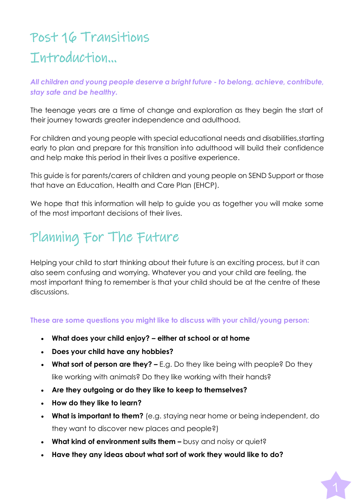# Post 16 Transitions Introduction…

#### *All children and young people deserve a bright future - to belong, achieve, contribute, stay safe and be healthy.*

The teenage years are a time of change and exploration as they begin the start of their journey towards greater independence and adulthood.

For children and young people with special educational needs and disabilities,starting early to plan and prepare for this transition into adulthood will build their confidence and help make this period in their lives a positive experience.

This guide is for parents/carers of children and young people on SEND Support or those that have an Education, Health and Care Plan (EHCP).

We hope that this information will help to guide you as together you will make some of the most important decisions of their lives.

# Planning For The Future

Helping your child to start thinking about their future is an exciting process, but it can also seem confusing and worrying. Whatever you and your child are feeling, the most important thing to remember is that your child should be at the centre of these discussions.

**These are some questions you might like to discuss with your child/young person:**

- **What does your child enjoy? – either at school or at home**
- **Does your child have any hobbies?**
- **What sort of person are they? –** E.g. Do they like being with people? Do they like working with animals? Do they like working with their hands?
- **Are they outgoing or do they like to keep to themselves?**
- **How do they like to learn?**
- **What is important to them?** (e.g. staying near home or being independent, do they want to discover new places and people?)
- **What kind of environment suits them –** busy and noisy or quiet?
- **Have they any ideas about what sort of work they would like to do?**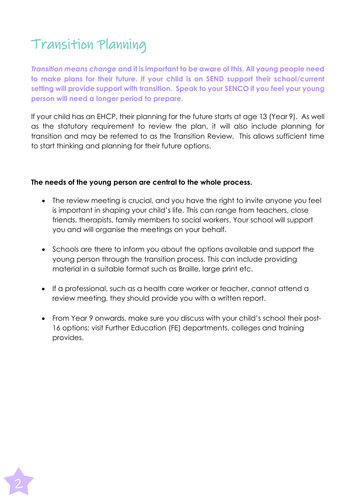# Transition Planning

*Transition means change* **and it is important to be aware of this. All young people need to make plans for their future. If your child is on SEND support their school/current setting will provide support with transition. Speak to your SENCO if you feel your young person will need a longer period to prepare.**

If your child has an EHCP, their planning for the future starts at age 13 (Year 9). As well as the statutory requirement to review the plan, it will also include planning for transition and may be referred to as the Transition Review. This allows sufficient time to start thinking and planning for their future options.

#### **The needs of the young person are central to the whole process.**

- The review meeting is crucial, and you have the right to invite anyone you feel is important in shaping your child's life. This can range from teachers, close friends, therapists, family members to social workers. Your school will support you and will organise the meetings on your behalf.
- Schools are there to inform you about the options available and support the young person through the transition process. This can include providing material in a suitable format such as Braille, large print etc.
- If a professional, such as a health care worker or teacher, cannot attend a review meeting, they should provide you with a written report.
- From Year 9 onwards, make sure you discuss with your child's school their post-16 options; visit Further Education (FE) departments, colleges and training provides.

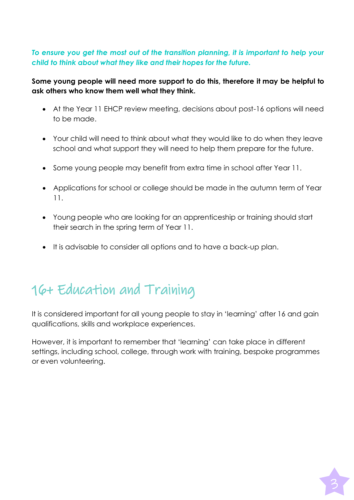#### *To ensure you get the most out of the transition planning, it is important to help your child to think about what they like and their hopes for the future.*

#### **Some young people will need more support to do this, therefore it may be helpful to ask others who know them well what they think.**

- At the Year 11 EHCP review meeting, decisions about post-16 options will need to be made.
- Your child will need to think about what they would like to do when they leave school and what support they will need to help them prepare for the future.
- Some young people may benefit from extra time in school after Year 11.
- Applications for school or college should be made in the autumn term of Year 11.
- Young people who are looking for an apprenticeship or training should start their search in the spring term of Year 11.
- It is advisable to consider all options and to have a back-up plan.

# 16+ Education and Training

It is considered important for all young people to stay in 'learning' after 16 and gain qualifications, skills and workplace experiences.

However, it is important to remember that 'learning' can take place in different settings, including school, college, through work with training, bespoke programmes or even volunteering.

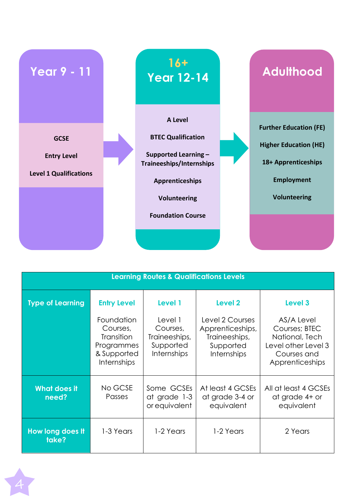

| <b>Learning Routes &amp; Qualifications Levels</b> |                                                                                                |                                                                         |                                                                                  |                                                                                                        |  |
|----------------------------------------------------|------------------------------------------------------------------------------------------------|-------------------------------------------------------------------------|----------------------------------------------------------------------------------|--------------------------------------------------------------------------------------------------------|--|
| <b>Type of Learning</b>                            | <b>Entry Level</b>                                                                             | Level 1                                                                 | Level <sub>2</sub>                                                               | Level 3                                                                                                |  |
|                                                    | Foundation<br>Courses,<br><b>Transition</b><br>Programmes<br>& Supported<br><b>Internships</b> | Level 1<br>Courses,<br>Traineeships,<br>Supported<br><b>Internships</b> | Level 2 Courses<br>Apprenticeships,<br>Traineeships,<br>Supported<br>Internships | AS/A Level<br>Courses; BTEC<br>National, Tech<br>Level other Level 3<br>Courses and<br>Apprenticeships |  |
| <b>What does it</b><br>need?                       | No GCSE<br><b>Passes</b>                                                                       | Some GCSEs<br>at grade 1-3<br>or equivalent                             | At least 4 GCSEs<br>at grade 3-4 or<br>equivalent                                | All at least 4 GCSEs<br>at grade 4+ or<br>equivalent                                                   |  |
| How long does It<br>take?                          | 1-3 Years                                                                                      | 1-2 Years                                                               | 1-2 Years                                                                        | 2 Years                                                                                                |  |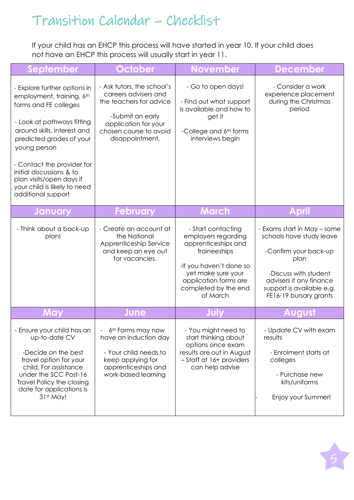# Transition Calendar – Checklist

If your child has an EHCP this process will have started in year 10. If your child does not have an EHCP this process will usually start in year 11.

| <b>September</b>                                                                                                                                                                                                                                                                                                                        | October                                                                                                                                                                | <b>November</b>                                                                                                                                                                                | <b>December</b>                                                                                                                                                                                     |
|-----------------------------------------------------------------------------------------------------------------------------------------------------------------------------------------------------------------------------------------------------------------------------------------------------------------------------------------|------------------------------------------------------------------------------------------------------------------------------------------------------------------------|------------------------------------------------------------------------------------------------------------------------------------------------------------------------------------------------|-----------------------------------------------------------------------------------------------------------------------------------------------------------------------------------------------------|
| - Explore further options in<br>employment, training, 6th<br>forms and FE colleges<br>- Look at pathways fitting<br>around skills, interest and<br>predicted grades of your<br>young person<br>- Contact the provider for<br>initial discussions & to<br>plan visits/open days if<br>your child is likely to need<br>additional support | - Ask tutors, the school's<br>careers advisers and<br>the teachers for advice<br>-Submit an early<br>application for your<br>chosen course to avoid<br>disappointment, | - Go to open days!<br>- Find out what support<br>is available and how to<br>get it<br>-College and 6th forms<br>interviews begin                                                               | - Consider a work<br>experience placement<br>during the Christmas<br>period                                                                                                                         |
| <b>January</b>                                                                                                                                                                                                                                                                                                                          | <b>February</b>                                                                                                                                                        | <b>March</b>                                                                                                                                                                                   | April                                                                                                                                                                                               |
| - Think about a back-up<br>plan!                                                                                                                                                                                                                                                                                                        | - Create an account at<br>the National<br>Apprenticeship Service<br>and keep an eye out<br>for vacancies.                                                              | - Start contacting<br>employers regarding<br>apprenticeships and<br>traineeships<br>-If you haven't done so<br>yet make sure your<br>application forms are<br>completed by the end<br>of March | - Exams start in May - some<br>schools have study leave<br>-Confirm your back-up<br>plan<br>-Discuss with student<br>advisers if any finance<br>support is available e.g.<br>FE16-19 bursary grants |
| May                                                                                                                                                                                                                                                                                                                                     | June                                                                                                                                                                   |                                                                                                                                                                                                | August                                                                                                                                                                                              |
| - Ensure your child has an<br>up-to-date CV<br>-Decide on the best<br>travel option for your<br>child. For assistance<br>under the SCC Post-16<br><b>Travel Policy the closing</b><br>date for applications is<br>31st May!                                                                                                             | 6 <sup>th</sup> Forms may now<br>have an induction day<br>- Your child needs to<br>keep applying for<br>apprenticeships and<br>work-based learning                     | - You might need to<br>start thinking about<br>options once exam<br>results are out in August<br>- Staff at 16+ providers<br>can help advise                                                   | - Update CV with exam<br>results<br>- Enrolment starts at<br>colleges<br>- Purchase new<br>kits/uniforms<br>Enjoy your Summer!                                                                      |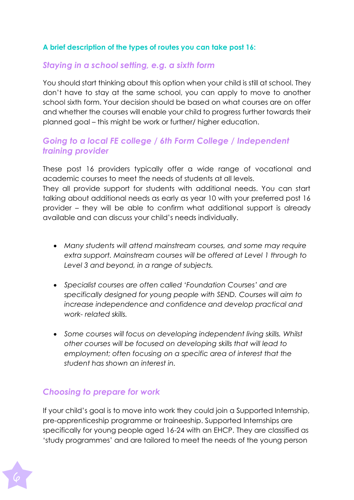#### **A brief description of the types of routes you can take post 16:**

#### *Staying in a school setting, e.g. a sixth form*

You should start thinking about this option when your child is still at school. They don't have to stay at the same school, you can apply to move to another school sixth form. Your decision should be based on what courses are on offer and whether the courses will enable your child to progress further towards their planned goal – this might be work or further/ higher education.

### *Going to a local FE college / 6th Form College / Independent training provider*

These post 16 providers typically offer a wide range of vocational and academic courses to meet the needs of students at all levels.

They all provide support for students with additional needs. You can start talking about additional needs as early as year 10 with your preferred post 16 provider – they will be able to confirm what additional support is already available and can discuss your child's needs individually.

- *Many students will attend mainstream courses, and some may require extra support. Mainstream courses will be offered at Level 1 through to Level 3 and beyond, in a range of subjects.*
- *Specialist courses are often called 'Foundation Courses' and are specifically designed for young people with SEND. Courses will aim to increase independence and confidence and develop practical and work- related skills.*
- *Some courses will focus on developing independent living skills. Whilst other courses will be focused on developing skills that will lead to employment; often focusing on a specific area of interest that the student has shown an interest in.*

### *Choosing to prepare for work*

If your child's goal is to move into work they could join a Supported Internship, pre-apprenticeship programme or traineeship. Supported Internships are specifically for young people aged 16-24 with an EHCP. They are classified as 'study programmes' and are tailored to meet the needs of the young person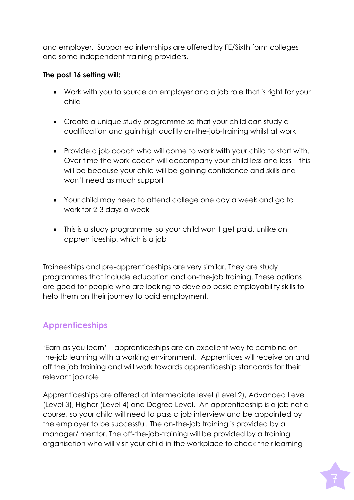and employer. Supported internships are offered by FE/Sixth form colleges and some independent training providers.

#### **The post 16 setting will:**

- Work with you to source an employer and a job role that is right for your child
- Create a unique study programme so that your child can study a qualification and gain high quality on-the-job-training whilst at work
- Provide a job coach who will come to work with your child to start with. Over time the work coach will accompany your child less and less – this will be because your child will be gaining confidence and skills and won't need as much support
- Your child may need to attend college one day a week and go to work for 2-3 days a week
- This is a study programme, so your child won't get paid, unlike an apprenticeship, which is a job

Traineeships and pre-apprenticeships are very similar. They are study programmes that include education and on-the-job training. These options are good for people who are looking to develop basic employability skills to help them on their journey to paid employment.

### **Apprenticeships**

'Earn as you learn' – apprenticeships are an excellent way to combine onthe-job learning with a working environment. Apprentices will receive on and off the job training and will work towards apprenticeship standards for their relevant job role.

Apprenticeships are offered at intermediate level (Level 2), Advanced Level (Level 3), Higher (Level 4) and Degree Level. An apprenticeship is a job not a course, so your child will need to pass a job interview and be appointed by the employer to be successful. The on-the-job training is provided by a manager/ mentor. The off-the-job-training will be provided by a training organisation who will visit your child in the workplace to check their learning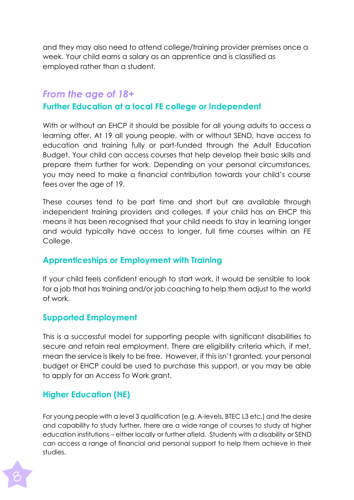and they may also need to attend college/training provider premises once a week. Your child earns a salary as an apprentice and is classified as employed rather than a student.

### *From the age of 18+*

## **Further Education at a local FE college or Independent**

With or without an EHCP it should be possible for all young adults to access a learning offer. At 19 all young people, with or without SEND, have access to education and training fully or part-funded through the Adult Education Budget. Your child can access courses that help develop their basic skills and prepare them further for work. Depending on your personal circumstances, you may need to make a financial contribution towards your child's course fees over the age of 19.

These courses tend to be part time and short but are available through independent training providers and colleges. If your child has an EHCP this means it has been recognised that your child needs to stay in learning longer and would typically have access to longer, full time courses within an FE College.

### **Apprenticeships or Employment with Training**

If your child feels confident enough to start work, it would be sensible to look for a job that has training and/or job coaching to help them adjust to the world of work.

### **Supported Employment**

This is a successful model for supporting people with significant disabilities to secure and retain real employment. There are eligibility criteria which, if met, mean the service is likely to be free. However, if this isn't granted, your personal budget or EHCP could be used to purchase this support, or you may be able to apply for an Access To Work grant.

## **Higher Education (HE)**

For young people with a level 3 qualification (e.g. A-levels, BTEC L3 etc.) and the desire and capability to study further, there are a wide range of courses to study at higher education institutions – either locally or further afield. Students with a disability or SEND can access a range of financial and personal support to help them achieve in their studies.

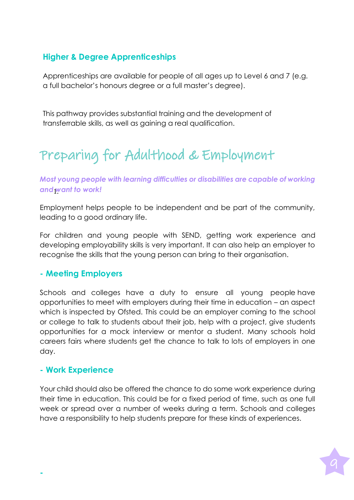## **Higher & Degree Apprenticeships**

Apprenticeships are available for people of all ages up to Level 6 and 7 (e.g. a full bachelor's honours degree or a full master's degree).

This pathway provides substantial training and the development of transferrable skills, as well as gaining a real qualification.

# Preparing for Adulthood & Employment

*Most young people with learning difficulties or disabilities are capable of working*  $and$  *want to work!* 

Employment helps people to be independent and be part of the community, leading to a good ordinary life.

For children and young people with SEND, getting work experience and developing employability skills is very important. It can also help an employer to recognise the skills that the young person can bring to their organisation.

#### **- Meeting Employers**

Schools and colleges have a duty to ensure all young people have opportunities to meet with employers during their time in education – an aspect which is inspected by Ofsted. This could be an employer coming to the school or college to talk to students about their job, help with a project, give students opportunities for a mock interview or mentor a student. Many schools hold careers fairs where students get the chance to talk to lots of employers in one day.

#### **- Work Experience**

Your child should also be offered the chance to do some work experience during their time in education. This could be for a fixed period of time, such as one full week or spread over a number of weeks during a term. Schools and colleges have a responsibility to help students prepare for these kinds of experiences.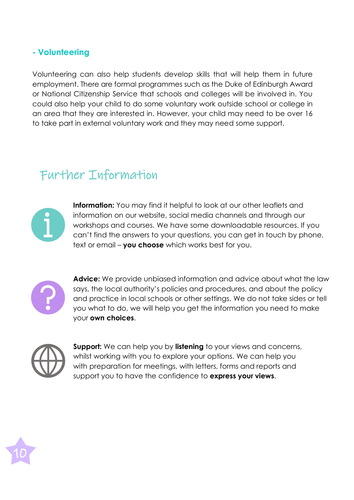#### **- Volunteering**

Volunteering can also help students develop skills that will help them in future employment. There are formal programmes such as the Duke of Edinburgh Award or National Citizenship Service that schools and colleges will be involved in. You could also help your child to do some voluntary work outside school or college in an area that they are interested in. However, your child may need to be over 16 to take part in external voluntary work and they may need some support.

# Further Information



**Information:** You may find it helpful to look at our other leaflets and information on our website, social media channels and through our workshops and courses. We have some downloadable resources. If you can't find the answers to your questions, you can get in touch by phone, text or email – **you choose** which works best for you.



**Advice:** We provide unbiased information and advice about what the law says, the local authority's policies and procedures, and about the policy and practice in local schools or other settings. We do not take sides or tell you what to do, we will help you get the information you need to make your **own choices**.



**Support:** We can help you by **listening** to your views and concerns, whilst working with you to explore your options. We can help you with preparation for meetings, with letters, forms and reports and support you to have the confidence to **express your views**.

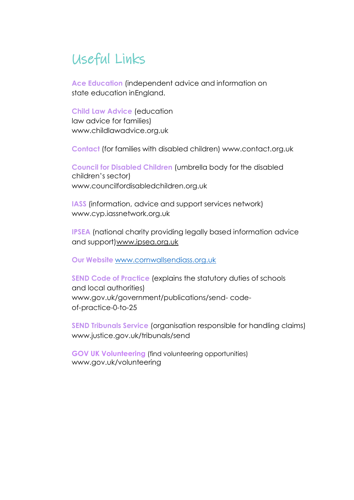# Useful Links

**Ace Education** (independent advice and information on state education inEngland.

**Child Law Advice** (education law advice for families) [www.childlawadvice.org.uk](http://www.childlawadvice.org.uk/)

**Contact** (for families with disabled children) [www.contact.org.uk](http://www.contact.org.uk/)

**Council for Disabled Children** (umbrella body for the disabled children's sector) [www.councilfordisabledchildren.org.uk](http://www.councilfordisabledchildren.org.uk/)

**IASS** (information, advice and support services network) [www.cyp.iassnetwork.org.uk](http://www.cyp.iassnetwork.org.uk/)

**IPSEA** (national charity providing legally based information advice and support[\)www.ipsea.org.uk](http://www.ipsea.org.uk/)

**Our Website** [www.cornwallsendiass.org.uk](http://www.cornwallsendiass.org.uk/)

**SEND Code of Practice** (explains the statutory duties of schools and local authorities) [www.gov.uk/government/publications/send-](http://www.gov.uk/government/publications/send-) codeof-practice-0-to-25

**SEND Tribunals Service** (organisation responsible for handling claims) [www.justice.gov.uk/tribunals/send](http://www.justice.gov.uk/tribunals/send)

**GOV UK Volunteering** (find volunteering opportunities) [www.gov.uk/volunteering](http://www.gov.uk/volunteering)